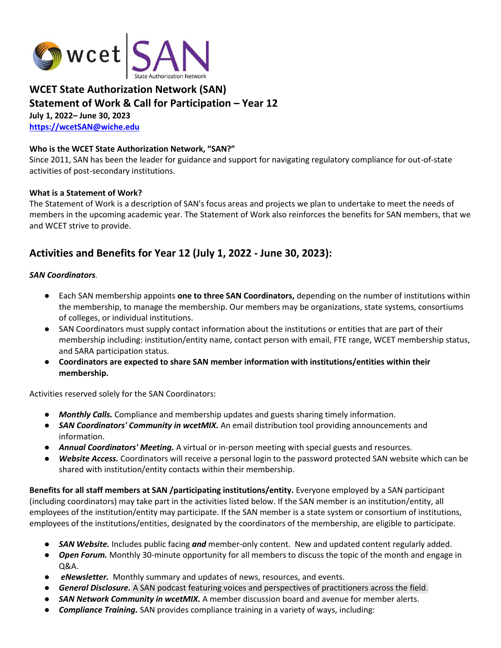

## **WCET State Authorization Network (SAN) Statement of Work & Call for Participation – Year 12 July 1, 2022– June 30, 2023 <https://wcetSAN@wiche.edu>**

#### **Who is the WCET State Authorization Network, "SAN?"**

Since 2011, SAN has been the leader for guidance and support for navigating regulatory compliance for out-of-state activities of post-secondary institutions.

#### **What is a Statement of Work?**

The Statement of Work is a description of SAN's focus areas and projects we plan to undertake to meet the needs of members in the upcoming academic year. The Statement of Work also reinforces the benefits for SAN members, that we and WCET strive to provide.

## **Activities and Benefits for Year 12 (July 1, 2022 - June 30, 2023):**

#### *SAN Coordinators.*

- Each SAN membership appoints **one to three SAN Coordinators,** depending on the number of institutions within the membership, to manage the membership. Our members may be organizations, state systems, consortiums of colleges, or individual institutions.
- SAN Coordinators must supply contact information about the institutions or entities that are part of their membership including: institution/entity name, contact person with email, FTE range, WCET membership status, and SARA participation status.
- **Coordinators are expected to share SAN member information with institutions/entities within their membership.**

Activities reserved solely for the SAN Coordinators:

- *Monthly Calls.* Compliance and membership updates and guests sharing timely information.
- **SAN Coordinators' Community in wcetMIX.** An email distribution tool providing announcements and information.
- *Annual Coordinators' Meeting.* A virtual or in-person meeting with special guests and resources.
- Website Access. Coordinators will receive a personal login to the password protected SAN website which can be shared with institution/entity contacts within their membership.

**Benefits for all staff members at SAN /participating institutions/entity.** Everyone employed by a SAN participant (including coordinators) may take part in the activities listed below. If the SAN member is an institution/entity, all employees of the institution/entity may participate. If the SAN member is a state system or consortium of institutions, employees of the institutions/entities, designated by the coordinators of the membership, are eligible to participate.

- *SAN Website.* Includes public facing *and* member-only content. New and updated content regularly added.
- *Open Forum.* Monthly 30-minute opportunity for all members to discuss the topic of the month and engage in Q&A.
- *eNewsletter.* Monthly summary and updates of news, resources, and events.
- *General Disclosure.* A SAN podcast featuring voices and perspectives of practitioners across the field.
- *SAN Network Community in wcetMIX.* A member discussion board and avenue for member alerts.
- **Compliance Training.** SAN provides compliance training in a variety of ways, including: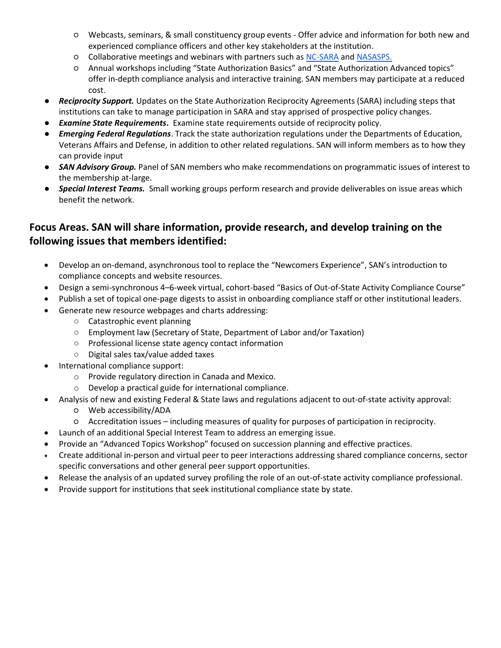- Webcasts, seminars, & small constituency group events Offer advice and information for both new and experienced compliance officers and other key stakeholders at the institution.
- Collaborative meetings and webinars with partners such as [NC-SARA](https://nc-sara.org/) and [NASASPS.](https://nasasps.org/)
- Annual workshops including "State Authorization Basics" and "State Authorization Advanced topics" offer in-depth compliance analysis and interactive training. SAN members may participate at a reduced cost.
- *Reciprocity Support.* Updates on the State Authorization Reciprocity Agreements (SARA) including steps that institutions can take to manage participation in SARA and stay apprised of prospective policy changes.
- *Examine State Requirements***.** Examine state requirements outside of reciprocity policy.
- *Emerging Federal Regulations*. Track the state authorization regulations under the Departments of Education, Veterans Affairs and Defense, in addition to other related regulations. SAN will inform members as to how they can provide input
- *SAN Advisory Group.* Panel of SAN members who make recommendations on programmatic issues of interest to the membership at-large.
- *Special Interest Teams.* Small working groups perform research and provide deliverables on issue areas which benefit the network.

# **Focus Areas. SAN will share information, provide research, and develop training on the following issues that members identified:**

- Develop an on-demand, asynchronous tool to replace the "Newcomers Experience", SAN's introduction to compliance concepts and website resources.
- Design a semi-synchronous 4–6-week virtual, cohort-based "Basics of Out-of-State Activity Compliance Course"
- Publish a set of topical one-page digests to assist in onboarding compliance staff or other institutional leaders.
- Generate new resource webpages and charts addressing:
	- Catastrophic event planning
	- Employment law (Secretary of State, Department of Labor and/or Taxation)
	- Professional license state agency contact information
	- Digital sales tax/value added taxes
- International compliance support:
	- o Provide regulatory direction in Canada and Mexico.
	- o Develop a practical guide for international compliance.
- Analysis of new and existing Federal & State laws and regulations adjacent to out-of-state activity approval:
	- Web accessibility/ADA
	- Accreditation issues including measures of quality for purposes of participation in reciprocity.
- Launch of an additional Special Interest Team to address an emerging issue.
- Provide an "Advanced Topics Workshop" focused on succession planning and effective practices.
- Create additional in-person and virtual peer to peer interactions addressing shared compliance concerns, sector specific conversations and other general peer support opportunities.
- Release the analysis of an updated survey profiling the role of an out-of-state activity compliance professional.
- Provide support for institutions that seek institutional compliance state by state.